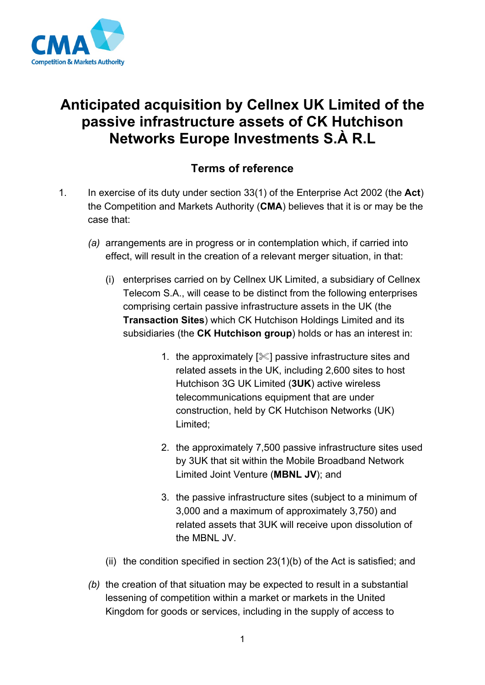

## **Anticipated acquisition by Cellnex UK Limited of the passive infrastructure assets of CK Hutchison Networks Europe Investments S.À R.L**

## **Terms of reference**

- 1. In exercise of its duty under section 33(1) of the Enterprise Act 2002 (the **Act**) the Competition and Markets Authority (**CMA**) believes that it is or may be the case that:
	- *(a)* arrangements are in progress or in contemplation which, if carried into effect, will result in the creation of a relevant merger situation, in that:
		- (i) enterprises carried on by Cellnex UK Limited, a subsidiary of Cellnex Telecom S.A., will cease to be distinct from the following enterprises comprising certain passive infrastructure assets in the UK (the **Transaction Sites**) which CK Hutchison Holdings Limited and its subsidiaries (the **CK Hutchison group**) holds or has an interest in:
			- 1. the approximately  $[\mathcal{K}]$  passive infrastructure sites and related assets in the UK, including 2,600 sites to host Hutchison 3G UK Limited (**3UK**) active wireless telecommunications equipment that are under construction, held by CK Hutchison Networks (UK) Limited;
			- 2. the approximately 7,500 passive infrastructure sites used by 3UK that sit within the Mobile Broadband Network Limited Joint Venture (**MBNL JV**); and
			- 3. the passive infrastructure sites (subject to a minimum of 3,000 and a maximum of approximately 3,750) and related assets that 3UK will receive upon dissolution of the MBNL JV.
		- (ii) the condition specified in section  $23(1)(b)$  of the Act is satisfied; and
	- *(b)* the creation of that situation may be expected to result in a substantial lessening of competition within a market or markets in the United Kingdom for goods or services, including in the supply of access to